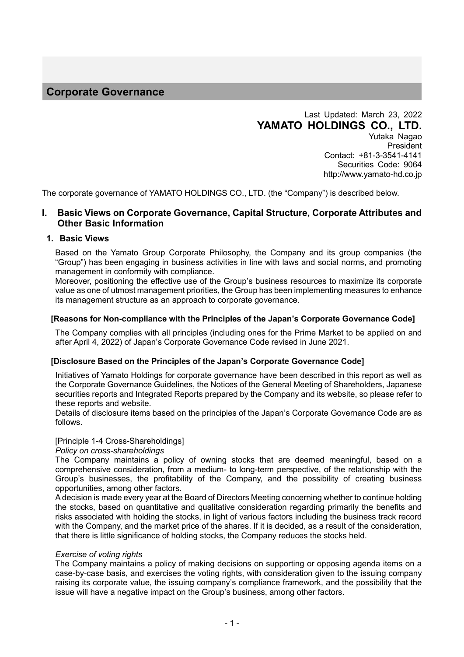# **Corporate Governance**

Last Updated: March 23, 2022 **YAMATO HOLDINGS CO., LTD.** Yutaka Nagao President Contact: +81-3-3541-4141 Securities Code: 9064

http://www.yamato-hd.co.jp

The corporate governance of YAMATO HOLDINGS CO., LTD. (the "Company") is described below.

# **I. Basic Views on Corporate Governance, Capital Structure, Corporate Attributes and Other Basic Information**

#### **1. Basic Views**

Based on the Yamato Group Corporate Philosophy, the Company and its group companies (the "Group") has been engaging in business activities in line with laws and social norms, and promoting management in conformity with compliance.

Moreover, positioning the effective use of the Group's business resources to maximize its corporate value as one of utmost management priorities, the Group has been implementing measures to enhance its management structure as an approach to corporate governance.

#### **[Reasons for Non-compliance with the Principles of the Japan's Corporate Governance Code]**

The Company complies with all principles (including ones for the Prime Market to be applied on and after April 4, 2022) of Japan's Corporate Governance Code revised in June 2021.

#### **[Disclosure Based on the Principles of the Japan's Corporate Governance Code]**

Initiatives of Yamato Holdings for corporate governance have been described in this report as well as the Corporate Governance Guidelines, the Notices of the General Meeting of Shareholders, Japanese securities reports and Integrated Reports prepared by the Company and its website, so please refer to these reports and website.

Details of disclosure items based on the principles of the Japan's Corporate Governance Code are as follows.

## [Principle 1-4 Cross-Shareholdings]

*Policy on cross-shareholdings*

The Company maintains a policy of owning stocks that are deemed meaningful, based on a comprehensive consideration, from a medium- to long-term perspective, of the relationship with the Group's businesses, the profitability of the Company, and the possibility of creating business opportunities, among other factors.

A decision is made every year at the Board of Directors Meeting concerning whether to continue holding the stocks, based on quantitative and qualitative consideration regarding primarily the benefits and risks associated with holding the stocks, in light of various factors including the business track record with the Company, and the market price of the shares. If it is decided, as a result of the consideration, that there is little significance of holding stocks, the Company reduces the stocks held.

#### *Exercise of voting rights*

The Company maintains a policy of making decisions on supporting or opposing agenda items on a case-by-case basis, and exercises the voting rights, with consideration given to the issuing company raising its corporate value, the issuing company's compliance framework, and the possibility that the issue will have a negative impact on the Group's business, among other factors.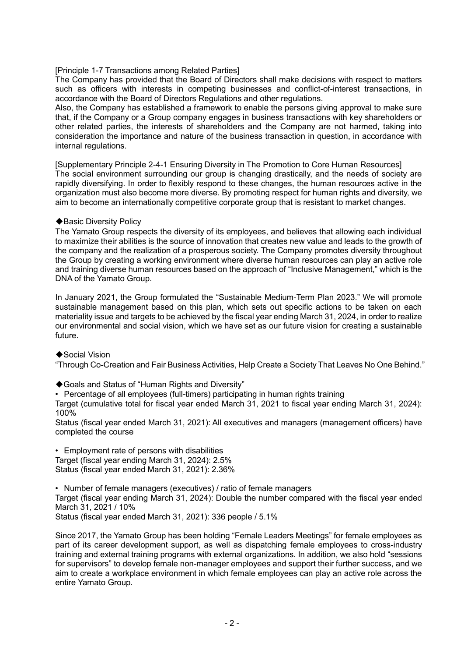## [Principle 1-7 Transactions among Related Parties]

The Company has provided that the Board of Directors shall make decisions with respect to matters such as officers with interests in competing businesses and conflict-of-interest transactions, in accordance with the Board of Directors Regulations and other regulations.

Also, the Company has established a framework to enable the persons giving approval to make sure that, if the Company or a Group company engages in business transactions with key shareholders or other related parties, the interests of shareholders and the Company are not harmed, taking into consideration the importance and nature of the business transaction in question, in accordance with internal regulations.

[Supplementary Principle 2-4-1 Ensuring Diversity in The Promotion to Core Human Resources] The social environment surrounding our group is changing drastically, and the needs of society are rapidly diversifying. In order to flexibly respond to these changes, the human resources active in the organization must also become more diverse. By promoting respect for human rights and diversity, we aim to become an internationally competitive corporate group that is resistant to market changes.

## ◆Basic Diversity Policy

The Yamato Group respects the diversity of its employees, and believes that allowing each individual to maximize their abilities is the source of innovation that creates new value and leads to the growth of the company and the realization of a prosperous society. The Company promotes diversity throughout the Group by creating a working environment where diverse human resources can play an active role and training diverse human resources based on the approach of "Inclusive Management," which is the DNA of the Yamato Group.

In January 2021, the Group formulated the "Sustainable Medium-Term Plan 2023." We will promote sustainable management based on this plan, which sets out specific actions to be taken on each materiality issue and targets to be achieved by the fiscal year ending March 31, 2024, in order to realize our environmental and social vision, which we have set as our future vision for creating a sustainable future.

◆Social Vision

"Through Co-Creation and Fair Business Activities, Help Create a Society That Leaves No One Behind."

◆Goals and Status of "Human Rights and Diversity"

• Percentage of all employees (full-timers) participating in human rights training

Target (cumulative total for fiscal year ended March 31, 2021 to fiscal year ending March 31, 2024): 100%

Status (fiscal year ended March 31, 2021): All executives and managers (management officers) have completed the course

• Employment rate of persons with disabilities Target (fiscal year ending March 31, 2024): 2.5% Status (fiscal year ended March 31, 2021): 2.36%

• Number of female managers (executives) / ratio of female managers Target (fiscal year ending March 31, 2024): Double the number compared with the fiscal year ended March 31, 2021 / 10% Status (fiscal year ended March 31, 2021): 336 people / 5.1%

Since 2017, the Yamato Group has been holding "Female Leaders Meetings" for female employees as part of its career development support, as well as dispatching female employees to cross-industry training and external training programs with external organizations. In addition, we also hold "sessions for supervisors" to develop female non-manager employees and support their further success, and we aim to create a workplace environment in which female employees can play an active role across the entire Yamato Group.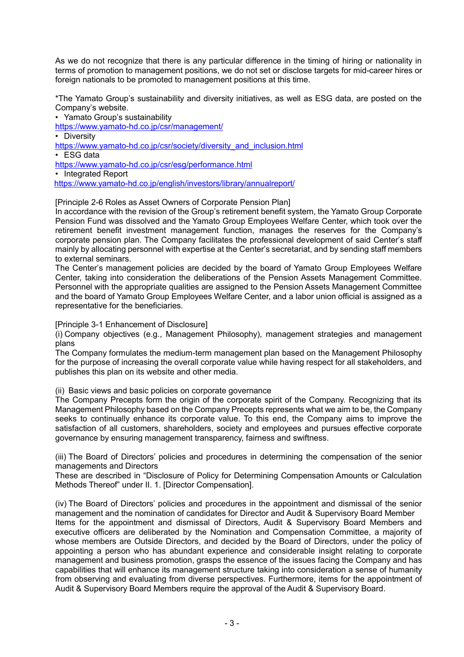As we do not recognize that there is any particular difference in the timing of hiring or nationality in terms of promotion to management positions, we do not set or disclose targets for mid-career hires or foreign nationals to be promoted to management positions at this time.

\*The Yamato Group's sustainability and diversity initiatives, as well as ESG data, are posted on the Company's website.

• Yamato Group's sustainability

<https://www.yamato-hd.co.jp/csr/management/>

• Diversity

[https://www.yamato-hd.co.jp/csr/society/diversity\\_and\\_inclusion.html](https://www.yamato-hd.co.jp/csr/society/diversity_and_inclusion.html)

• ESG data

<https://www.yamato-hd.co.jp/csr/esg/performance.html>

• Integrated Report <https://www.yamato-hd.co.jp/english/investors/library/annualreport/>

[Principle 2-6 Roles as Asset Owners of Corporate Pension Plan]

In accordance with the revision of the Group's retirement benefit system, the Yamato Group Corporate Pension Fund was dissolved and the Yamato Group Employees Welfare Center, which took over the retirement benefit investment management function, manages the reserves for the Company's corporate pension plan. The Company facilitates the professional development of said Center's staff mainly by allocating personnel with expertise at the Center's secretariat, and by sending staff members to external seminars.

The Center's management policies are decided by the board of Yamato Group Employees Welfare Center, taking into consideration the deliberations of the Pension Assets Management Committee. Personnel with the appropriate qualities are assigned to the Pension Assets Management Committee and the board of Yamato Group Employees Welfare Center, and a labor union official is assigned as a representative for the beneficiaries.

[Principle 3-1 Enhancement of Disclosure]

(i) Company objectives (e.g., Management Philosophy), management strategies and management plans

The Company formulates the medium-term management plan based on the Management Philosophy for the purpose of increasing the overall corporate value while having respect for all stakeholders, and publishes this plan on its website and other media.

(ii) Basic views and basic policies on corporate governance

The Company Precepts form the origin of the corporate spirit of the Company. Recognizing that its Management Philosophy based on the Company Precepts represents what we aim to be, the Company seeks to continually enhance its corporate value. To this end, the Company aims to improve the satisfaction of all customers, shareholders, society and employees and pursues effective corporate governance by ensuring management transparency, fairness and swiftness.

(iii) The Board of Directors' policies and procedures in determining the compensation of the senior managements and Directors

These are described in "Disclosure of Policy for Determining Compensation Amounts or Calculation Methods Thereof" under II. 1. [Director Compensation].

(iv) The Board of Directors' policies and procedures in the appointment and dismissal of the senior management and the nomination of candidates for Director and Audit & Supervisory Board Member Items for the appointment and dismissal of Directors, Audit & Supervisory Board Members and executive officers are deliberated by the Nomination and Compensation Committee, a majority of whose members are Outside Directors, and decided by the Board of Directors, under the policy of appointing a person who has abundant experience and considerable insight relating to corporate management and business promotion, grasps the essence of the issues facing the Company and has capabilities that will enhance its management structure taking into consideration a sense of humanity from observing and evaluating from diverse perspectives. Furthermore, items for the appointment of Audit & Supervisory Board Members require the approval of the Audit & Supervisory Board.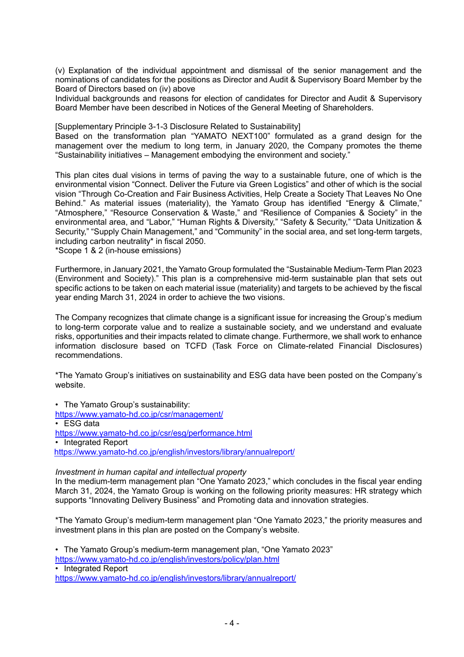(v) Explanation of the individual appointment and dismissal of the senior management and the nominations of candidates for the positions as Director and Audit & Supervisory Board Member by the Board of Directors based on (iv) above

Individual backgrounds and reasons for election of candidates for Director and Audit & Supervisory Board Member have been described in Notices of the General Meeting of Shareholders.

[Supplementary Principle 3-1-3 Disclosure Related to Sustainability]

Based on the transformation plan "YAMATO NEXT100" formulated as a grand design for the management over the medium to long term, in January 2020, the Company promotes the theme "Sustainability initiatives – Management embodying the environment and society."

This plan cites dual visions in terms of paving the way to a sustainable future, one of which is the environmental vision "Connect. Deliver the Future via Green Logistics" and other of which is the social vision "Through Co-Creation and Fair Business Activities, Help Create a Society That Leaves No One Behind." As material issues (materiality), the Yamato Group has identified "Energy & Climate," "Atmosphere," "Resource Conservation & Waste," and "Resilience of Companies & Society" in the environmental area, and "Labor," "Human Rights & Diversity," "Safety & Security," "Data Unitization & Security," "Supply Chain Management," and "Community" in the social area, and set long-term targets, including carbon neutrality\* in fiscal 2050.

\*Scope 1 & 2 (in-house emissions)

Furthermore, in January 2021, the Yamato Group formulated the "Sustainable Medium-Term Plan 2023 (Environment and Society)." This plan is a comprehensive mid-term sustainable plan that sets out specific actions to be taken on each material issue (materiality) and targets to be achieved by the fiscal year ending March 31, 2024 in order to achieve the two visions.

The Company recognizes that climate change is a significant issue for increasing the Group's medium to long-term corporate value and to realize a sustainable society, and we understand and evaluate risks, opportunities and their impacts related to climate change. Furthermore, we shall work to enhance information disclosure based on TCFD (Task Force on Climate-related Financial Disclosures) recommendations.

\*The Yamato Group's initiatives on sustainability and ESG data have been posted on the Company's website.

• The Yamato Group's sustainability: <https://www.yamato-hd.co.jp/csr/management/> • ESG data <https://www.yamato-hd.co.jp/csr/esg/performance.html> • Integrated Report <https://www.yamato-hd.co.jp/english/investors/library/annualreport/>

#### *Investment in human capital and intellectual property*

In the medium-term management plan "One Yamato 2023," which concludes in the fiscal year ending March 31, 2024, the Yamato Group is working on the following priority measures: HR strategy which supports "Innovating Delivery Business" and Promoting data and innovation strategies.

\*The Yamato Group's medium-term management plan "One Yamato 2023," the priority measures and investment plans in this plan are posted on the Company's website.

• The Yamato Group's medium-term management plan, "One Yamato 2023"

<https://www.yamato-hd.co.jp/english/investors/policy/plan.html>

• Integrated Report <https://www.yamato-hd.co.jp/english/investors/library/annualreport/>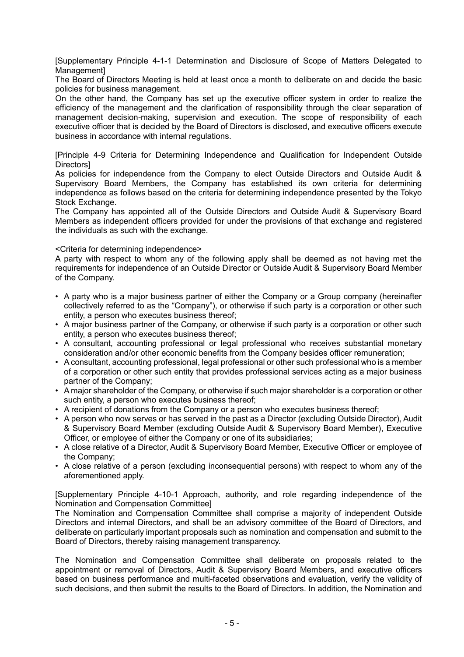[Supplementary Principle 4-1-1 Determination and Disclosure of Scope of Matters Delegated to **Managementl** 

The Board of Directors Meeting is held at least once a month to deliberate on and decide the basic policies for business management.

On the other hand, the Company has set up the executive officer system in order to realize the efficiency of the management and the clarification of responsibility through the clear separation of management decision-making, supervision and execution. The scope of responsibility of each executive officer that is decided by the Board of Directors is disclosed, and executive officers execute business in accordance with internal regulations.

[Principle 4-9 Criteria for Determining Independence and Qualification for Independent Outside Directors]

As policies for independence from the Company to elect Outside Directors and Outside Audit & Supervisory Board Members, the Company has established its own criteria for determining independence as follows based on the criteria for determining independence presented by the Tokyo Stock Exchange.

The Company has appointed all of the Outside Directors and Outside Audit & Supervisory Board Members as independent officers provided for under the provisions of that exchange and registered the individuals as such with the exchange.

#### <Criteria for determining independence>

A party with respect to whom any of the following apply shall be deemed as not having met the requirements for independence of an Outside Director or Outside Audit & Supervisory Board Member of the Company.

- A party who is a major business partner of either the Company or a Group company (hereinafter collectively referred to as the "Company"), or otherwise if such party is a corporation or other such entity, a person who executes business thereof;
- A major business partner of the Company, or otherwise if such party is a corporation or other such entity, a person who executes business thereof;
- A consultant, accounting professional or legal professional who receives substantial monetary consideration and/or other economic benefits from the Company besides officer remuneration;
- A consultant, accounting professional, legal professional or other such professional who is a member of a corporation or other such entity that provides professional services acting as a major business partner of the Company;
- A major shareholder of the Company, or otherwise if such major shareholder is a corporation or other such entity, a person who executes business thereof;
- A recipient of donations from the Company or a person who executes business thereof;
- A person who now serves or has served in the past as a Director (excluding Outside Director), Audit & Supervisory Board Member (excluding Outside Audit & Supervisory Board Member), Executive Officer, or employee of either the Company or one of its subsidiaries;
- A close relative of a Director, Audit & Supervisory Board Member, Executive Officer or employee of the Company;
- A close relative of a person (excluding inconsequential persons) with respect to whom any of the aforementioned apply.

[Supplementary Principle 4-10-1 Approach, authority, and role regarding independence of the Nomination and Compensation Committee]

The Nomination and Compensation Committee shall comprise a majority of independent Outside Directors and internal Directors, and shall be an advisory committee of the Board of Directors, and deliberate on particularly important proposals such as nomination and compensation and submit to the Board of Directors, thereby raising management transparency.

The Nomination and Compensation Committee shall deliberate on proposals related to the appointment or removal of Directors, Audit & Supervisory Board Members, and executive officers based on business performance and multi-faceted observations and evaluation, verify the validity of such decisions, and then submit the results to the Board of Directors. In addition, the Nomination and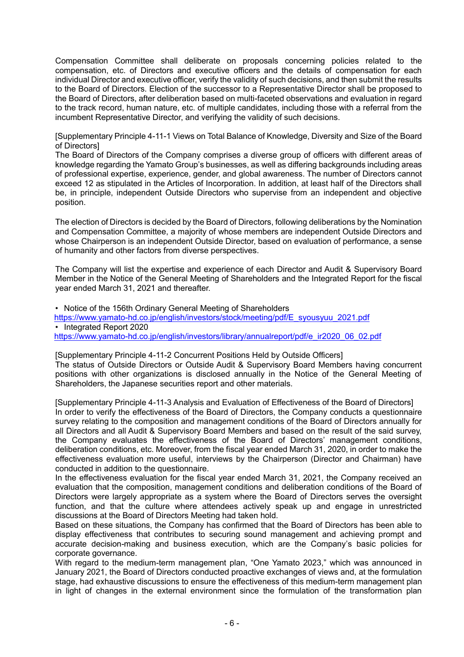Compensation Committee shall deliberate on proposals concerning policies related to the compensation, etc. of Directors and executive officers and the details of compensation for each individual Director and executive officer, verify the validity of such decisions, and then submit the results to the Board of Directors. Election of the successor to a Representative Director shall be proposed to the Board of Directors, after deliberation based on multi-faceted observations and evaluation in regard to the track record, human nature, etc. of multiple candidates, including those with a referral from the incumbent Representative Director, and verifying the validity of such decisions.

[Supplementary Principle 4-11-1 Views on Total Balance of Knowledge, Diversity and Size of the Board of Directors]

The Board of Directors of the Company comprises a diverse group of officers with different areas of knowledge regarding the Yamato Group's businesses, as well as differing backgrounds including areas of professional expertise, experience, gender, and global awareness. The number of Directors cannot exceed 12 as stipulated in the Articles of Incorporation. In addition, at least half of the Directors shall be, in principle, independent Outside Directors who supervise from an independent and objective position.

The election of Directors is decided by the Board of Directors, following deliberations by the Nomination and Compensation Committee, a majority of whose members are independent Outside Directors and whose Chairperson is an independent Outside Director, based on evaluation of performance, a sense of humanity and other factors from diverse perspectives.

The Company will list the expertise and experience of each Director and Audit & Supervisory Board Member in the Notice of the General Meeting of Shareholders and the Integrated Report for the fiscal year ended March 31, 2021 and thereafter.

• Notice of the 156th Ordinary General Meeting of Shareholders [https://www.yamato-hd.co.jp/english/investors/stock/meeting/pdf/E\\_syousyuu\\_2021.pdf](https://www.yamato-hd.co.jp/english/investors/stock/meeting/pdf/E_syousyuu_2021.pdf) • Integrated Report 2020 [https://www.yamato-hd.co.jp/english/investors/library/annualreport/pdf/e\\_ir2020\\_06\\_02.pdf](https://www.yamato-hd.co.jp/english/investors/library/annualreport/pdf/e_ir2020_06_02.pdf)

[Supplementary Principle 4-11-2 Concurrent Positions Held by Outside Officers] The status of Outside Directors or Outside Audit & Supervisory Board Members having concurrent positions with other organizations is disclosed annually in the Notice of the General Meeting of Shareholders, the Japanese securities report and other materials.

[Supplementary Principle 4-11-3 Analysis and Evaluation of Effectiveness of the Board of Directors] In order to verify the effectiveness of the Board of Directors, the Company conducts a questionnaire survey relating to the composition and management conditions of the Board of Directors annually for all Directors and all Audit & Supervisory Board Members and based on the result of the said survey, the Company evaluates the effectiveness of the Board of Directors' management conditions, deliberation conditions, etc. Moreover, from the fiscal year ended March 31, 2020, in order to make the effectiveness evaluation more useful, interviews by the Chairperson (Director and Chairman) have conducted in addition to the questionnaire.

In the effectiveness evaluation for the fiscal year ended March 31, 2021, the Company received an evaluation that the composition, management conditions and deliberation conditions of the Board of Directors were largely appropriate as a system where the Board of Directors serves the oversight function, and that the culture where attendees actively speak up and engage in unrestricted discussions at the Board of Directors Meeting had taken hold.

Based on these situations, the Company has confirmed that the Board of Directors has been able to display effectiveness that contributes to securing sound management and achieving prompt and accurate decision-making and business execution, which are the Company's basic policies for corporate governance.

With regard to the medium-term management plan, "One Yamato 2023," which was announced in January 2021, the Board of Directors conducted proactive exchanges of views and, at the formulation stage, had exhaustive discussions to ensure the effectiveness of this medium-term management plan in light of changes in the external environment since the formulation of the transformation plan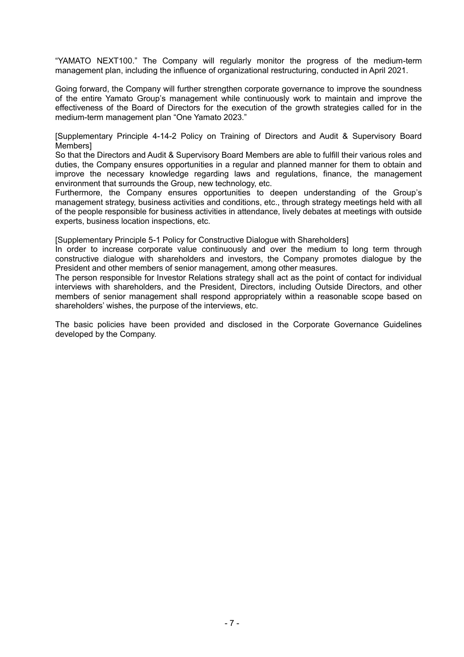"YAMATO NEXT100." The Company will regularly monitor the progress of the medium-term management plan, including the influence of organizational restructuring, conducted in April 2021.

Going forward, the Company will further strengthen corporate governance to improve the soundness of the entire Yamato Group's management while continuously work to maintain and improve the effectiveness of the Board of Directors for the execution of the growth strategies called for in the medium-term management plan "One Yamato 2023."

[Supplementary Principle 4-14-2 Policy on Training of Directors and Audit & Supervisory Board Members]

So that the Directors and Audit & Supervisory Board Members are able to fulfill their various roles and duties, the Company ensures opportunities in a regular and planned manner for them to obtain and improve the necessary knowledge regarding laws and regulations, finance, the management environment that surrounds the Group, new technology, etc.

Furthermore, the Company ensures opportunities to deepen understanding of the Group's management strategy, business activities and conditions, etc., through strategy meetings held with all of the people responsible for business activities in attendance, lively debates at meetings with outside experts, business location inspections, etc.

[Supplementary Principle 5-1 Policy for Constructive Dialogue with Shareholders]

In order to increase corporate value continuously and over the medium to long term through constructive dialogue with shareholders and investors, the Company promotes dialogue by the President and other members of senior management, among other measures.

The person responsible for Investor Relations strategy shall act as the point of contact for individual interviews with shareholders, and the President, Directors, including Outside Directors, and other members of senior management shall respond appropriately within a reasonable scope based on shareholders' wishes, the purpose of the interviews, etc.

The basic policies have been provided and disclosed in the Corporate Governance Guidelines developed by the Company.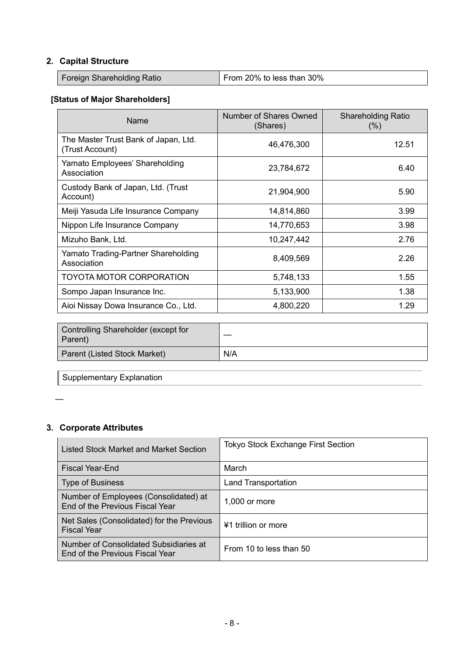# **2. Capital Structure**

| Foreign Shareholding Ratio | From 20% to less than 30% |
|----------------------------|---------------------------|
|----------------------------|---------------------------|

# **[Status of Major Shareholders]**

| Name                                                    | Number of Shares Owned<br>(Shares) | <b>Shareholding Ratio</b><br>(% ) |
|---------------------------------------------------------|------------------------------------|-----------------------------------|
| The Master Trust Bank of Japan, Ltd.<br>(Trust Account) | 46,476,300                         | 12.51                             |
| Yamato Employees' Shareholding<br>Association           | 23,784,672                         | 6.40                              |
| Custody Bank of Japan, Ltd. (Trust<br>Account)          | 21,904,900                         | 5.90                              |
| Meiji Yasuda Life Insurance Company                     | 14,814,860                         | 3.99                              |
| Nippon Life Insurance Company                           | 14,770,653                         | 3.98                              |
| Mizuho Bank, Ltd.                                       | 10,247,442                         | 2.76                              |
| Yamato Trading-Partner Shareholding<br>Association      | 8,409,569                          | 2.26                              |
| <b>TOYOTA MOTOR CORPORATION</b>                         | 5,748,133                          | 1.55                              |
| Sompo Japan Insurance Inc.                              | 5,133,900                          | 1.38                              |
| Aioi Nissay Dowa Insurance Co., Ltd.                    | 4,800,220                          | 1.29                              |

| Controlling Shareholder (except for<br>Parent) |     |
|------------------------------------------------|-----|
| Parent (Listed Stock Market)                   | N/A |

Supplementary Explanation

# **3. Corporate Attributes**

| Listed Stock Market and Market Section                                    | <b>Tokyo Stock Exchange First Section</b> |
|---------------------------------------------------------------------------|-------------------------------------------|
| Fiscal Year-End                                                           | March                                     |
| <b>Type of Business</b>                                                   | <b>Land Transportation</b>                |
| Number of Employees (Consolidated) at<br>End of the Previous Fiscal Year  | $1,000$ or more                           |
| Net Sales (Consolidated) for the Previous<br><b>Fiscal Year</b>           | ¥1 trillion or more                       |
| Number of Consolidated Subsidiaries at<br>End of the Previous Fiscal Year | From 10 to less than 50                   |

<sup>—</sup>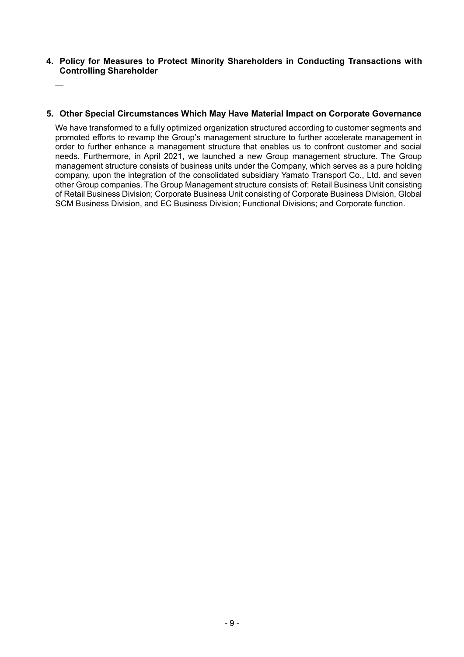**4. Policy for Measures to Protect Minority Shareholders in Conducting Transactions with Controlling Shareholder** 

—

# **5. Other Special Circumstances Which May Have Material Impact on Corporate Governance**

We have transformed to a fully optimized organization structured according to customer segments and promoted efforts to revamp the Group's management structure to further accelerate management in order to further enhance a management structure that enables us to confront customer and social needs. Furthermore, in April 2021, we launched a new Group management structure. The Group management structure consists of business units under the Company, which serves as a pure holding company, upon the integration of the consolidated subsidiary Yamato Transport Co., Ltd. and seven other Group companies. The Group Management structure consists of: Retail Business Unit consisting of Retail Business Division; Corporate Business Unit consisting of Corporate Business Division, Global SCM Business Division, and EC Business Division; Functional Divisions; and Corporate function.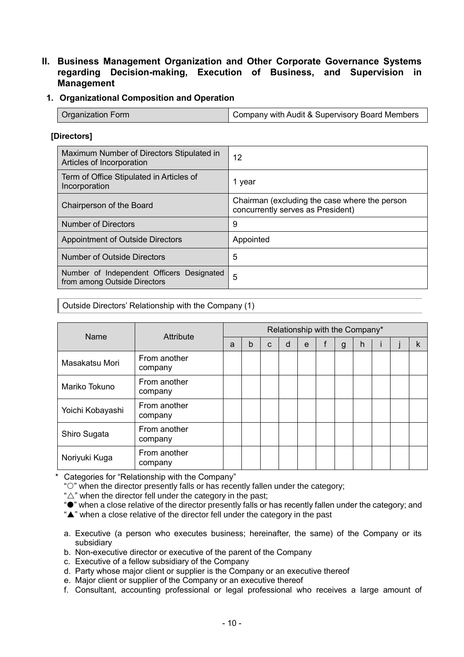# **II. Business Management Organization and Other Corporate Governance Systems regarding Decision-making, Execution of Business, and Supervision in Management**

# **1. Organizational Composition and Operation**

| <b>Organization Form</b> | Company with Audit & Supervisory Board Members |
|--------------------------|------------------------------------------------|
|                          |                                                |

## **[Directors]**

| Maximum Number of Directors Stipulated in<br>Articles of Incorporation    | 12                                                                                 |
|---------------------------------------------------------------------------|------------------------------------------------------------------------------------|
| Term of Office Stipulated in Articles of<br>Incorporation                 | 1 year                                                                             |
| Chairperson of the Board                                                  | Chairman (excluding the case where the person<br>concurrently serves as President) |
| Number of Directors                                                       | 9                                                                                  |
| <b>Appointment of Outside Directors</b>                                   | Appointed                                                                          |
| <b>Number of Outside Directors</b>                                        | 5                                                                                  |
| Number of Independent Officers Designated<br>from among Outside Directors | 5                                                                                  |

Outside Directors' Relationship with the Company (1)

| Name             | Attribute               | Relationship with the Company* |   |   |   |   |  |              |   |  |   |
|------------------|-------------------------|--------------------------------|---|---|---|---|--|--------------|---|--|---|
|                  |                         | a                              | b | C | d | e |  | $\mathsf{g}$ | h |  | k |
| Masakatsu Mori   | From another<br>company |                                |   |   |   |   |  |              |   |  |   |
| Mariko Tokuno    | From another<br>company |                                |   |   |   |   |  |              |   |  |   |
| Yoichi Kobayashi | From another<br>company |                                |   |   |   |   |  |              |   |  |   |
| Shiro Sugata     | From another<br>company |                                |   |   |   |   |  |              |   |  |   |
| Noriyuki Kuga    | From another<br>company |                                |   |   |   |   |  |              |   |  |   |

\* Categories for "Relationship with the Company"

""" when the director presently falls or has recently fallen under the category;

" $\triangle$ " when the director fell under the category in the past;

" $\bullet$ " when a close relative of the director presently falls or has recently fallen under the category; and

"A" when a close relative of the director fell under the category in the past

- a. Executive (a person who executes business; hereinafter, the same) of the Company or its subsidiary
- b. Non-executive director or executive of the parent of the Company
- c. Executive of a fellow subsidiary of the Company
- d. Party whose major client or supplier is the Company or an executive thereof
- e. Major client or supplier of the Company or an executive thereof
- f. Consultant, accounting professional or legal professional who receives a large amount of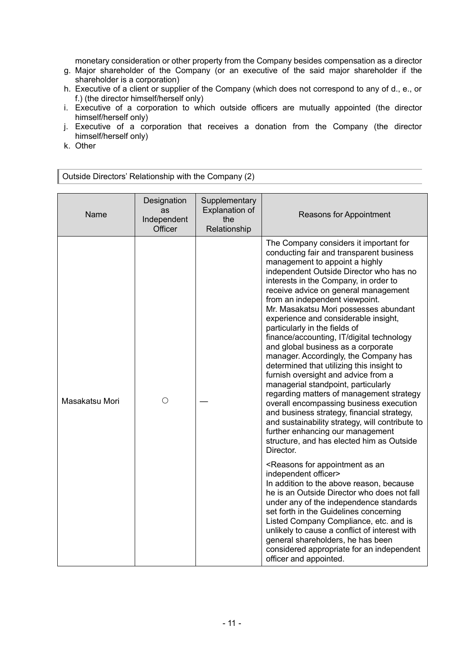monetary consideration or other property from the Company besides compensation as a director

- g. Major shareholder of the Company (or an executive of the said major shareholder if the shareholder is a corporation)
- h. Executive of a client or supplier of the Company (which does not correspond to any of d., e., or f.) (the director himself/herself only)
- i. Executive of a corporation to which outside officers are mutually appointed (the director himself/herself only)
- j. Executive of a corporation that receives a donation from the Company (the director himself/herself only)
- k. Other

Outside Directors' Relationship with the Company (2)

| Name           | Designation<br>as<br>Independent<br>Officer | Supplementary<br>Explanation of<br>the<br>Relationship | <b>Reasons for Appointment</b>                                                                                                                                                                                                                                                                                                                                                                                                                                                                                                                                                                                                                                                                                                                                                                                                                                                                                                                    |
|----------------|---------------------------------------------|--------------------------------------------------------|---------------------------------------------------------------------------------------------------------------------------------------------------------------------------------------------------------------------------------------------------------------------------------------------------------------------------------------------------------------------------------------------------------------------------------------------------------------------------------------------------------------------------------------------------------------------------------------------------------------------------------------------------------------------------------------------------------------------------------------------------------------------------------------------------------------------------------------------------------------------------------------------------------------------------------------------------|
| Masakatsu Mori | О                                           |                                                        | The Company considers it important for<br>conducting fair and transparent business<br>management to appoint a highly<br>independent Outside Director who has no<br>interests in the Company, in order to<br>receive advice on general management<br>from an independent viewpoint.<br>Mr. Masakatsu Mori possesses abundant<br>experience and considerable insight,<br>particularly in the fields of<br>finance/accounting, IT/digital technology<br>and global business as a corporate<br>manager. Accordingly, the Company has<br>determined that utilizing this insight to<br>furnish oversight and advice from a<br>managerial standpoint, particularly<br>regarding matters of management strategy<br>overall encompassing business execution<br>and business strategy, financial strategy,<br>and sustainability strategy, will contribute to<br>further enhancing our management<br>structure, and has elected him as Outside<br>Director. |
|                |                                             |                                                        | <reasons an<br="" appointment="" as="" for="">independent officer&gt;<br/>In addition to the above reason, because<br/>he is an Outside Director who does not fall<br/>under any of the independence standards<br/>set forth in the Guidelines concerning<br/>Listed Company Compliance, etc. and is<br/>unlikely to cause a conflict of interest with<br/>general shareholders, he has been<br/>considered appropriate for an independent<br/>officer and appointed.</reasons>                                                                                                                                                                                                                                                                                                                                                                                                                                                                   |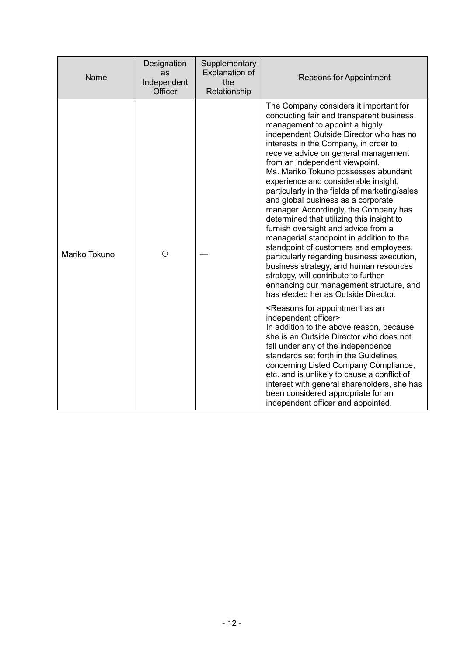| Name          | Designation<br>as<br>Independent<br>Officer | Supplementary<br>Explanation of<br>the<br>Relationship                                                                                                                                                                                                                                                                                                                                                                                                                            | <b>Reasons for Appointment</b>                                                                                                                                                                                                                                                                                                                                                                                                                                                                                                                                                                                                                                                                                                                                                                                                                                                                  |
|---------------|---------------------------------------------|-----------------------------------------------------------------------------------------------------------------------------------------------------------------------------------------------------------------------------------------------------------------------------------------------------------------------------------------------------------------------------------------------------------------------------------------------------------------------------------|-------------------------------------------------------------------------------------------------------------------------------------------------------------------------------------------------------------------------------------------------------------------------------------------------------------------------------------------------------------------------------------------------------------------------------------------------------------------------------------------------------------------------------------------------------------------------------------------------------------------------------------------------------------------------------------------------------------------------------------------------------------------------------------------------------------------------------------------------------------------------------------------------|
| Mariko Tokuno | Ω                                           |                                                                                                                                                                                                                                                                                                                                                                                                                                                                                   | The Company considers it important for<br>conducting fair and transparent business<br>management to appoint a highly<br>independent Outside Director who has no<br>interests in the Company, in order to<br>receive advice on general management<br>from an independent viewpoint.<br>Ms. Mariko Tokuno possesses abundant<br>experience and considerable insight,<br>particularly in the fields of marketing/sales<br>and global business as a corporate<br>manager. Accordingly, the Company has<br>determined that utilizing this insight to<br>furnish oversight and advice from a<br>managerial standpoint in addition to the<br>standpoint of customers and employees,<br>particularly regarding business execution,<br>business strategy, and human resources<br>strategy, will contribute to further<br>enhancing our management structure, and<br>has elected her as Outside Director. |
|               |                                             | <reasons an<br="" appointment="" as="" for="">independent officer&gt;<br/>In addition to the above reason, because<br/>she is an Outside Director who does not<br/>fall under any of the independence<br/>standards set forth in the Guidelines<br/>concerning Listed Company Compliance,<br/>etc. and is unlikely to cause a conflict of<br/>interest with general shareholders, she has<br/>been considered appropriate for an<br/>independent officer and appointed.</reasons> |                                                                                                                                                                                                                                                                                                                                                                                                                                                                                                                                                                                                                                                                                                                                                                                                                                                                                                 |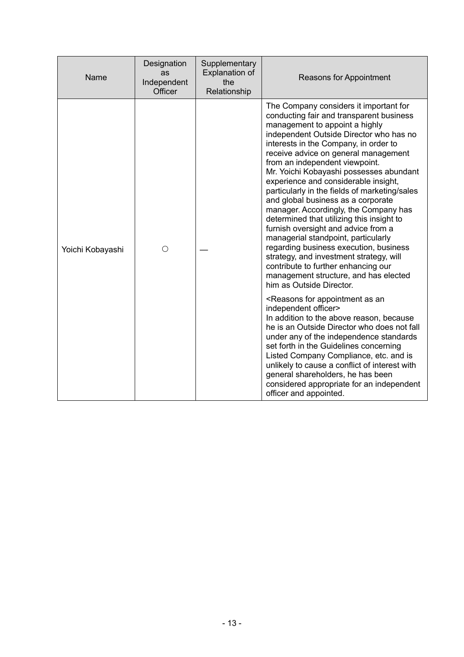| Name             | Designation<br>as<br>Independent<br>Officer | Supplementary<br><b>Explanation of</b><br>the<br>Relationship | <b>Reasons for Appointment</b>                                                                                                                                                                                                                                                                                                                                                                                                                                                                                                                                                                                                                                                                                                                                                                                                    |
|------------------|---------------------------------------------|---------------------------------------------------------------|-----------------------------------------------------------------------------------------------------------------------------------------------------------------------------------------------------------------------------------------------------------------------------------------------------------------------------------------------------------------------------------------------------------------------------------------------------------------------------------------------------------------------------------------------------------------------------------------------------------------------------------------------------------------------------------------------------------------------------------------------------------------------------------------------------------------------------------|
| Yoichi Kobayashi | ∩                                           |                                                               | The Company considers it important for<br>conducting fair and transparent business<br>management to appoint a highly<br>independent Outside Director who has no<br>interests in the Company, in order to<br>receive advice on general management<br>from an independent viewpoint.<br>Mr. Yoichi Kobayashi possesses abundant<br>experience and considerable insight,<br>particularly in the fields of marketing/sales<br>and global business as a corporate<br>manager. Accordingly, the Company has<br>determined that utilizing this insight to<br>furnish oversight and advice from a<br>managerial standpoint, particularly<br>regarding business execution, business<br>strategy, and investment strategy, will<br>contribute to further enhancing our<br>management structure, and has elected<br>him as Outside Director. |
|                  |                                             |                                                               | <reasons an<br="" appointment="" as="" for="">independent officer&gt;<br/>In addition to the above reason, because<br/>he is an Outside Director who does not fall<br/>under any of the independence standards<br/>set forth in the Guidelines concerning<br/>Listed Company Compliance, etc. and is<br/>unlikely to cause a conflict of interest with<br/>general shareholders, he has been<br/>considered appropriate for an independent<br/>officer and appointed.</reasons>                                                                                                                                                                                                                                                                                                                                                   |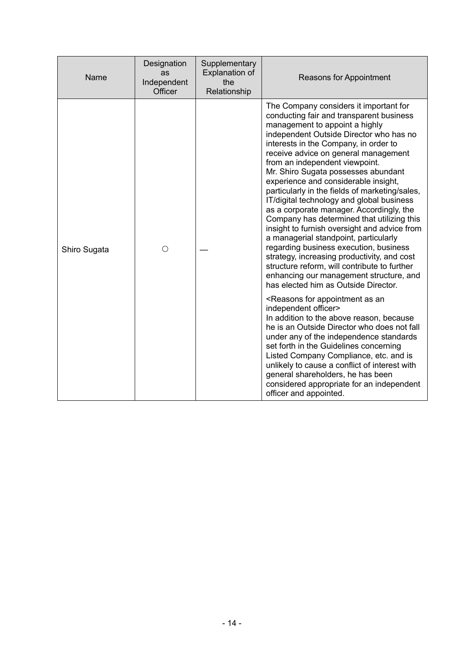| Name         | Designation<br>as<br>Independent<br>Officer | Supplementary<br>Explanation of<br>the<br>Relationship | <b>Reasons for Appointment</b>                                                                                                                                                                                                                                                                                                                                                                                                                                                                                                                                                                                                                                                                                                                                                                                                                                                                                                                                                                                                                                                                                                                         |
|--------------|---------------------------------------------|--------------------------------------------------------|--------------------------------------------------------------------------------------------------------------------------------------------------------------------------------------------------------------------------------------------------------------------------------------------------------------------------------------------------------------------------------------------------------------------------------------------------------------------------------------------------------------------------------------------------------------------------------------------------------------------------------------------------------------------------------------------------------------------------------------------------------------------------------------------------------------------------------------------------------------------------------------------------------------------------------------------------------------------------------------------------------------------------------------------------------------------------------------------------------------------------------------------------------|
| Shiro Sugata | ∩                                           |                                                        | The Company considers it important for<br>conducting fair and transparent business<br>management to appoint a highly<br>independent Outside Director who has no<br>interests in the Company, in order to<br>receive advice on general management<br>from an independent viewpoint.<br>Mr. Shiro Sugata possesses abundant<br>experience and considerable insight,<br>particularly in the fields of marketing/sales,<br>IT/digital technology and global business<br>as a corporate manager. Accordingly, the<br>Company has determined that utilizing this<br>insight to furnish oversight and advice from<br>a managerial standpoint, particularly<br>regarding business execution, business<br>strategy, increasing productivity, and cost<br>structure reform, will contribute to further<br>enhancing our management structure, and<br>has elected him as Outside Director.<br><reasons an<br="" appointment="" as="" for="">independent officer&gt;<br/>In addition to the above reason, because<br/>he is an Outside Director who does not fall<br/>under any of the independence standards<br/>set forth in the Guidelines concerning</reasons> |
|              |                                             |                                                        | Listed Company Compliance, etc. and is<br>unlikely to cause a conflict of interest with<br>general shareholders, he has been<br>considered appropriate for an independent<br>officer and appointed.                                                                                                                                                                                                                                                                                                                                                                                                                                                                                                                                                                                                                                                                                                                                                                                                                                                                                                                                                    |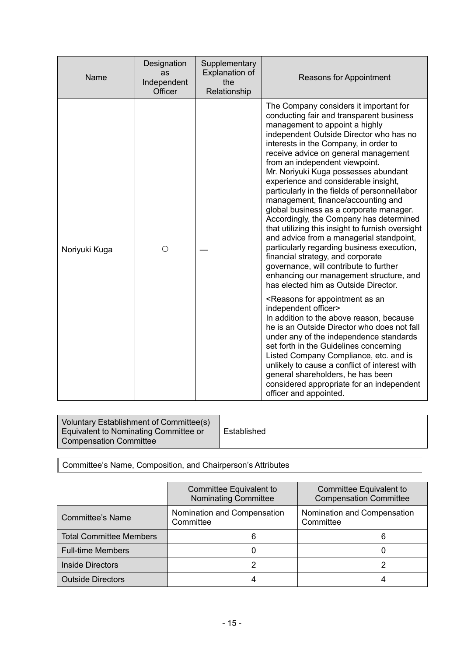| Name          | Designation<br>as<br>Independent<br>Officer | Supplementary<br>Explanation of<br>the<br>Relationship | Reasons for Appointment                                                                                                                                                                                                                                                                                                                                                                                                                                                                                                                                                                                                                                                                                                                                                                                                                                                                                                                                                                                                                                                                                                                                                                                                                                                                                                                            |
|---------------|---------------------------------------------|--------------------------------------------------------|----------------------------------------------------------------------------------------------------------------------------------------------------------------------------------------------------------------------------------------------------------------------------------------------------------------------------------------------------------------------------------------------------------------------------------------------------------------------------------------------------------------------------------------------------------------------------------------------------------------------------------------------------------------------------------------------------------------------------------------------------------------------------------------------------------------------------------------------------------------------------------------------------------------------------------------------------------------------------------------------------------------------------------------------------------------------------------------------------------------------------------------------------------------------------------------------------------------------------------------------------------------------------------------------------------------------------------------------------|
| Noriyuki Kuga | О                                           |                                                        | The Company considers it important for<br>conducting fair and transparent business<br>management to appoint a highly<br>independent Outside Director who has no<br>interests in the Company, in order to<br>receive advice on general management<br>from an independent viewpoint.<br>Mr. Noriyuki Kuga possesses abundant<br>experience and considerable insight,<br>particularly in the fields of personnel/labor<br>management, finance/accounting and<br>global business as a corporate manager.<br>Accordingly, the Company has determined<br>that utilizing this insight to furnish oversight<br>and advice from a managerial standpoint,<br>particularly regarding business execution,<br>financial strategy, and corporate<br>governance, will contribute to further<br>enhancing our management structure, and<br>has elected him as Outside Director.<br><reasons an<br="" appointment="" as="" for="">independent officer&gt;<br/>In addition to the above reason, because<br/>he is an Outside Director who does not fall<br/>under any of the independence standards<br/>set forth in the Guidelines concerning<br/>Listed Company Compliance, etc. and is<br/>unlikely to cause a conflict of interest with<br/>general shareholders, he has been<br/>considered appropriate for an independent<br/>officer and appointed.</reasons> |

| Voluntary Establishment of Committee(s)<br>Equivalent to Nominating Committee or<br><b>Compensation Committee</b> | Established |
|-------------------------------------------------------------------------------------------------------------------|-------------|
|-------------------------------------------------------------------------------------------------------------------|-------------|

Committee's Name, Composition, and Chairperson's Attributes

|                                | Committee Equivalent to<br><b>Nominating Committee</b> | Committee Equivalent to<br><b>Compensation Committee</b> |
|--------------------------------|--------------------------------------------------------|----------------------------------------------------------|
| <b>Committee's Name</b>        | Nomination and Compensation<br>Committee               | Nomination and Compensation<br>Committee                 |
| <b>Total Committee Members</b> | 6                                                      |                                                          |
| <b>Full-time Members</b>       |                                                        |                                                          |
| <b>Inside Directors</b>        |                                                        |                                                          |
| <b>Outside Directors</b>       |                                                        |                                                          |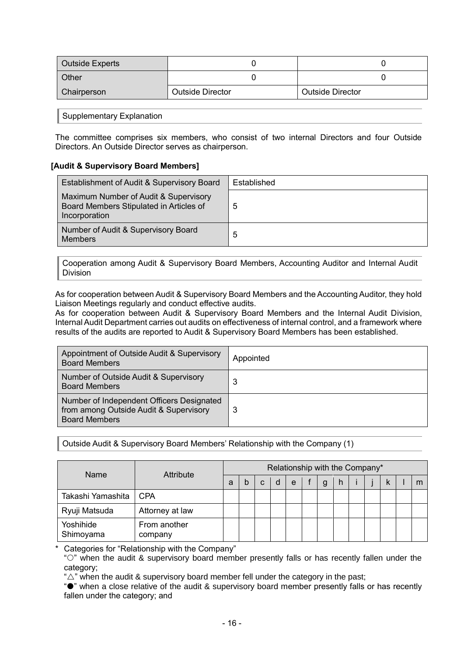| Outside Experts |                         |                         |
|-----------------|-------------------------|-------------------------|
| Other           |                         |                         |
| Chairperson     | <b>Outside Director</b> | <b>Outside Director</b> |

#### Supplementary Explanation

The committee comprises six members, who consist of two internal Directors and four Outside Directors. An Outside Director serves as chairperson.

#### **[Audit & Supervisory Board Members]**

| Establishment of Audit & Supervisory Board                                                        | Established |
|---------------------------------------------------------------------------------------------------|-------------|
| Maximum Number of Audit & Supervisory<br>Board Members Stipulated in Articles of<br>Incorporation | 5           |
| Number of Audit & Supervisory Board<br><b>Members</b>                                             | 5           |

Cooperation among Audit & Supervisory Board Members, Accounting Auditor and Internal Audit Division

As for cooperation between Audit & Supervisory Board Members and the Accounting Auditor, they hold Liaison Meetings regularly and conduct effective audits.

As for cooperation between Audit & Supervisory Board Members and the Internal Audit Division, Internal Audit Department carries out audits on effectiveness of internal control, and a framework where results of the audits are reported to Audit & Supervisory Board Members has been established.

| Appointment of Outside Audit & Supervisory<br><b>Board Members</b>                                          | Appointed |
|-------------------------------------------------------------------------------------------------------------|-----------|
| Number of Outside Audit & Supervisory<br><b>Board Members</b>                                               | 3         |
| Number of Independent Officers Designated<br>from among Outside Audit & Supervisory<br><b>Board Members</b> | 3         |

Outside Audit & Supervisory Board Members' Relationship with the Company (1)

| Name                   | Attribute               |   | Relationship with the Company* |   |   |   |  |   |   |  |  |  |   |
|------------------------|-------------------------|---|--------------------------------|---|---|---|--|---|---|--|--|--|---|
|                        |                         | а | b                              | C | d | e |  | g | h |  |  |  | m |
| Takashi Yamashita      | <b>CPA</b>              |   |                                |   |   |   |  |   |   |  |  |  |   |
| Ryuji Matsuda          | Attorney at law         |   |                                |   |   |   |  |   |   |  |  |  |   |
| Yoshihide<br>Shimoyama | From another<br>company |   |                                |   |   |   |  |   |   |  |  |  |   |

Categories for "Relationship with the Company"

""" when the audit & supervisory board member presently falls or has recently fallen under the category;

" $\triangle$ " when the audit & supervisory board member fell under the category in the past;

" $\bullet$ " when a close relative of the audit & supervisory board member presently falls or has recently fallen under the category; and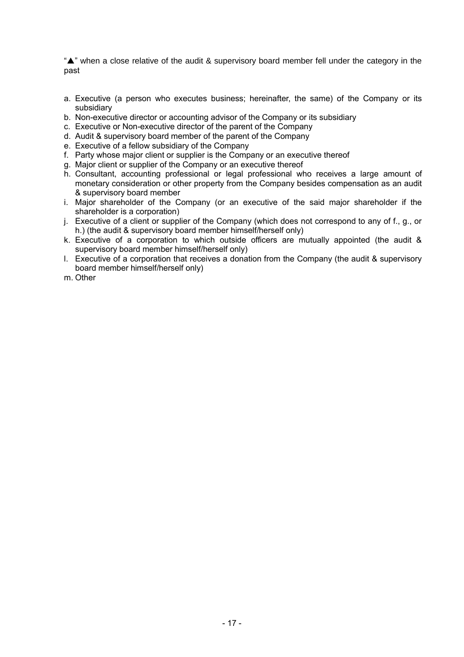"A" when a close relative of the audit & supervisory board member fell under the category in the past

- a. Executive (a person who executes business; hereinafter, the same) of the Company or its subsidiary
- b. Non-executive director or accounting advisor of the Company or its subsidiary
- c. Executive or Non-executive director of the parent of the Company
- d. Audit & supervisory board member of the parent of the Company
- e. Executive of a fellow subsidiary of the Company
- f. Party whose major client or supplier is the Company or an executive thereof
- g. Major client or supplier of the Company or an executive thereof
- h. Consultant, accounting professional or legal professional who receives a large amount of monetary consideration or other property from the Company besides compensation as an audit & supervisory board member
- i. Major shareholder of the Company (or an executive of the said major shareholder if the shareholder is a corporation)
- j. Executive of a client or supplier of the Company (which does not correspond to any of f., g., or h.) (the audit & supervisory board member himself/herself only)
- k. Executive of a corporation to which outside officers are mutually appointed (the audit & supervisory board member himself/herself only)
- l. Executive of a corporation that receives a donation from the Company (the audit & supervisory board member himself/herself only)
- m. Other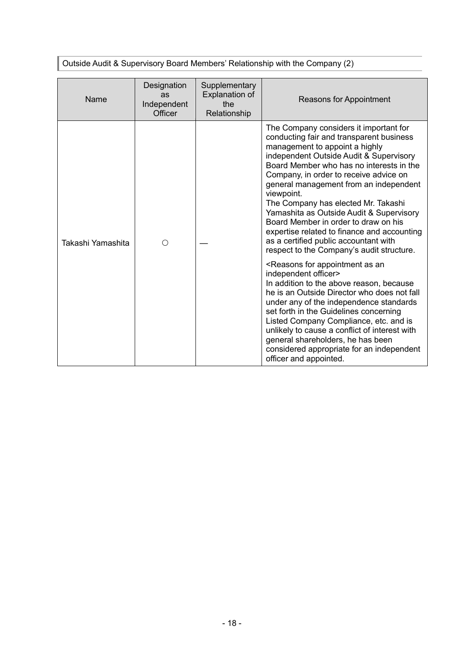Outside Audit & Supervisory Board Members' Relationship with the Company (2)

| Name              | Designation<br>as<br>Independent<br>Officer | Supplementary<br><b>Explanation of</b><br>the<br>Relationship                                                                                                                                                                                                                                                                                                                                                                                                                   | Reasons for Appointment                                                                                                                                                                                                                                                                                                                                                                                                                                                                                                                                                       |
|-------------------|---------------------------------------------|---------------------------------------------------------------------------------------------------------------------------------------------------------------------------------------------------------------------------------------------------------------------------------------------------------------------------------------------------------------------------------------------------------------------------------------------------------------------------------|-------------------------------------------------------------------------------------------------------------------------------------------------------------------------------------------------------------------------------------------------------------------------------------------------------------------------------------------------------------------------------------------------------------------------------------------------------------------------------------------------------------------------------------------------------------------------------|
| Takashi Yamashita | ∩                                           |                                                                                                                                                                                                                                                                                                                                                                                                                                                                                 | The Company considers it important for<br>conducting fair and transparent business<br>management to appoint a highly<br>independent Outside Audit & Supervisory<br>Board Member who has no interests in the<br>Company, in order to receive advice on<br>general management from an independent<br>viewpoint.<br>The Company has elected Mr. Takashi<br>Yamashita as Outside Audit & Supervisory<br>Board Member in order to draw on his<br>expertise related to finance and accounting<br>as a certified public accountant with<br>respect to the Company's audit structure. |
|                   |                                             | <reasons an<br="" appointment="" as="" for="">independent officer&gt;<br/>In addition to the above reason, because<br/>he is an Outside Director who does not fall<br/>under any of the independence standards<br/>set forth in the Guidelines concerning<br/>Listed Company Compliance, etc. and is<br/>unlikely to cause a conflict of interest with<br/>general shareholders, he has been<br/>considered appropriate for an independent<br/>officer and appointed.</reasons> |                                                                                                                                                                                                                                                                                                                                                                                                                                                                                                                                                                               |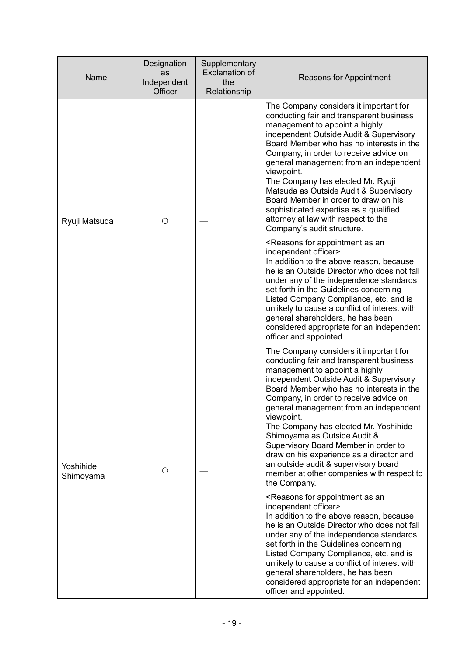| Name                   | Designation<br>as<br>Independent<br>Officer | Supplementary<br><b>Explanation of</b><br>the<br>Relationship                                                                                                                                                                                                                                                                                                                                                                                                                   | Reasons for Appointment                                                                                                                                                                                                                                                                                                                                                                                                                                                                                                                                                         |
|------------------------|---------------------------------------------|---------------------------------------------------------------------------------------------------------------------------------------------------------------------------------------------------------------------------------------------------------------------------------------------------------------------------------------------------------------------------------------------------------------------------------------------------------------------------------|---------------------------------------------------------------------------------------------------------------------------------------------------------------------------------------------------------------------------------------------------------------------------------------------------------------------------------------------------------------------------------------------------------------------------------------------------------------------------------------------------------------------------------------------------------------------------------|
| Ryuji Matsuda          | O                                           |                                                                                                                                                                                                                                                                                                                                                                                                                                                                                 | The Company considers it important for<br>conducting fair and transparent business<br>management to appoint a highly<br>independent Outside Audit & Supervisory<br>Board Member who has no interests in the<br>Company, in order to receive advice on<br>general management from an independent<br>viewpoint.<br>The Company has elected Mr. Ryuji<br>Matsuda as Outside Audit & Supervisory<br>Board Member in order to draw on his<br>sophisticated expertise as a qualified<br>attorney at law with respect to the<br>Company's audit structure.                             |
|                        |                                             |                                                                                                                                                                                                                                                                                                                                                                                                                                                                                 | <reasons an<br="" appointment="" as="" for="">independent officer&gt;<br/>In addition to the above reason, because<br/>he is an Outside Director who does not fall<br/>under any of the independence standards<br/>set forth in the Guidelines concerning<br/>Listed Company Compliance, etc. and is<br/>unlikely to cause a conflict of interest with<br/>general shareholders, he has been<br/>considered appropriate for an independent<br/>officer and appointed.</reasons>                                                                                                 |
| Yoshihide<br>Shimoyama | О                                           |                                                                                                                                                                                                                                                                                                                                                                                                                                                                                 | The Company considers it important for<br>conducting fair and transparent business<br>management to appoint a highly<br>independent Outside Audit & Supervisory<br>Board Member who has no interests in the<br>Company, in order to receive advice on<br>general management from an independent<br>viewpoint.<br>The Company has elected Mr. Yoshihide<br>Shimoyama as Outside Audit &<br>Supervisory Board Member in order to<br>draw on his experience as a director and<br>an outside audit & supervisory board<br>member at other companies with respect to<br>the Company. |
|                        |                                             | <reasons an<br="" appointment="" as="" for="">independent officer&gt;<br/>In addition to the above reason, because<br/>he is an Outside Director who does not fall<br/>under any of the independence standards<br/>set forth in the Guidelines concerning<br/>Listed Company Compliance, etc. and is<br/>unlikely to cause a conflict of interest with<br/>general shareholders, he has been<br/>considered appropriate for an independent<br/>officer and appointed.</reasons> |                                                                                                                                                                                                                                                                                                                                                                                                                                                                                                                                                                                 |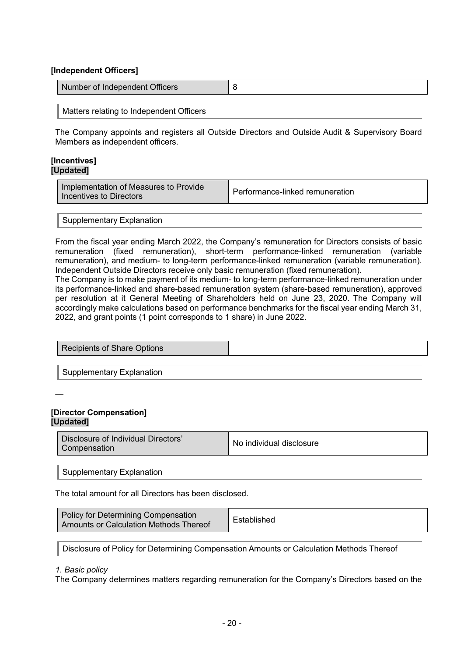## **[Independent Officers]**

| Number of Independent Officers |  |
|--------------------------------|--|
|                                |  |

Matters relating to Independent Officers

The Company appoints and registers all Outside Directors and Outside Audit & Supervisory Board Members as independent officers.

#### **[Incentives] [Updated]**

| Implementation of Measures to Provide<br>Incentives to Directors | Performance-linked remuneration |
|------------------------------------------------------------------|---------------------------------|
|------------------------------------------------------------------|---------------------------------|

#### Supplementary Explanation

From the fiscal year ending March 2022, the Company's remuneration for Directors consists of basic remuneration (fixed remuneration), short-term performance-linked remuneration (variable remuneration), and medium- to long-term performance-linked remuneration (variable remuneration). Independent Outside Directors receive only basic remuneration (fixed remuneration).

The Company is to make payment of its medium- to long-term performance-linked remuneration under its performance-linked and share-based remuneration system (share-based remuneration), approved per resolution at it General Meeting of Shareholders held on June 23, 2020. The Company will accordingly make calculations based on performance benchmarks for the fiscal year ending March 31, 2022, and grant points (1 point corresponds to 1 share) in June 2022.

| Recipients of Share Options |  |
|-----------------------------|--|
|                             |  |
| Supplementary Explanation   |  |

—

## **[Director Compensation] [Updated]**

Supplementary Explanation

The total amount for all Directors has been disclosed.

| <b>Policy for Determining Compensation</b><br>Established<br>Amounts or Calculation Methods Thereof |  |
|-----------------------------------------------------------------------------------------------------|--|
|-----------------------------------------------------------------------------------------------------|--|

Disclosure of Policy for Determining Compensation Amounts or Calculation Methods Thereof

#### *1. Basic policy*

The Company determines matters regarding remuneration for the Company's Directors based on the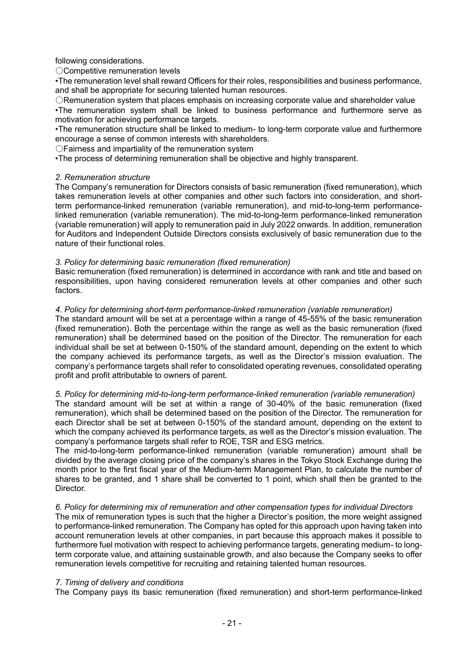following considerations.

〇Competitive remuneration levels

•The remuneration level shall reward Officers for their roles, responsibilities and business performance, and shall be appropriate for securing talented human resources.

〇Remuneration system that places emphasis on increasing corporate value and shareholder value

•The remuneration system shall be linked to business performance and furthermore serve as motivation for achieving performance targets.

•The remuneration structure shall be linked to medium- to long-term corporate value and furthermore encourage a sense of common interests with shareholders.

〇Fairness and impartiality of the remuneration system

•The process of determining remuneration shall be objective and highly transparent.

## *2. Remuneration structure*

The Company's remuneration for Directors consists of basic remuneration (fixed remuneration), which takes remuneration levels at other companies and other such factors into consideration, and shortterm performance-linked remuneration (variable remuneration), and mid-to-long-term performancelinked remuneration (variable remuneration). The mid-to-long-term performance-linked remuneration (variable remuneration) will apply to remuneration paid in July 2022 onwards. In addition, remuneration for Auditors and Independent Outside Directors consists exclusively of basic remuneration due to the nature of their functional roles.

## *3. Policy for determining basic remuneration (fixed remuneration)*

Basic remuneration (fixed remuneration) is determined in accordance with rank and title and based on responsibilities, upon having considered remuneration levels at other companies and other such factors.

## *4. Policy for determining short-term performance-linked remuneration (variable remuneration)*

The standard amount will be set at a percentage within a range of 45-55% of the basic remuneration (fixed remuneration). Both the percentage within the range as well as the basic remuneration (fixed remuneration) shall be determined based on the position of the Director. The remuneration for each individual shall be set at between 0-150% of the standard amount, depending on the extent to which the company achieved its performance targets, as well as the Director's mission evaluation. The company's performance targets shall refer to consolidated operating revenues, consolidated operating profit and profit attributable to owners of parent.

#### *5. Policy for determining mid-to-long-term performance-linked remuneration (variable remuneration)*

The standard amount will be set at within a range of 30-40% of the basic remuneration (fixed remuneration), which shall be determined based on the position of the Director. The remuneration for each Director shall be set at between 0-150% of the standard amount, depending on the extent to which the company achieved its performance targets, as well as the Director's mission evaluation. The company's performance targets shall refer to ROE, TSR and ESG metrics.

The mid-to-long-term performance-linked remuneration (variable remuneration) amount shall be divided by the average closing price of the company's shares in the Tokyo Stock Exchange during the month prior to the first fiscal year of the Medium-term Management Plan, to calculate the number of shares to be granted, and 1 share shall be converted to 1 point, which shall then be granted to the Director.

# *6. Policy for determining mix of remuneration and other compensation types for individual Directors*

The mix of remuneration types is such that the higher a Director's position, the more weight assigned to performance-linked remuneration. The Company has opted for this approach upon having taken into account remuneration levels at other companies, in part because this approach makes it possible to furthermore fuel motivation with respect to achieving performance targets, generating medium- to longterm corporate value, and attaining sustainable growth, and also because the Company seeks to offer remuneration levels competitive for recruiting and retaining talented human resources.

#### *7. Timing of delivery and conditions*

The Company pays its basic remuneration (fixed remuneration) and short-term performance-linked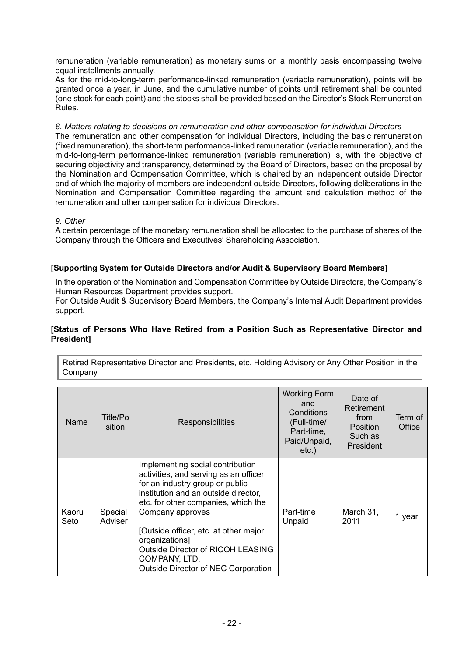remuneration (variable remuneration) as monetary sums on a monthly basis encompassing twelve equal installments annually.

As for the mid-to-long-term performance-linked remuneration (variable remuneration), points will be granted once a year, in June, and the cumulative number of points until retirement shall be counted (one stock for each point) and the stocks shall be provided based on the Director's Stock Remuneration Rules.

*8. Matters relating to decisions on remuneration and other compensation for individual Directors* The remuneration and other compensation for individual Directors, including the basic remuneration (fixed remuneration), the short-term performance-linked remuneration (variable remuneration), and the mid-to-long-term performance-linked remuneration (variable remuneration) is, with the objective of securing objectivity and transparency, determined by the Board of Directors, based on the proposal by the Nomination and Compensation Committee, which is chaired by an independent outside Director and of which the majority of members are independent outside Directors, following deliberations in the Nomination and Compensation Committee regarding the amount and calculation method of the remuneration and other compensation for individual Directors.

## *9. Other*

A certain percentage of the monetary remuneration shall be allocated to the purchase of shares of the Company through the Officers and Executives' Shareholding Association.

## **[Supporting System for Outside Directors and/or Audit & Supervisory Board Members]**

In the operation of the Nomination and Compensation Committee by Outside Directors, the Company's Human Resources Department provides support.

For Outside Audit & Supervisory Board Members, the Company's Internal Audit Department provides support.

#### **[Status of Persons Who Have Retired from a Position Such as Representative Director and President]**

Retired Representative Director and Presidents, etc. Holding Advisory or Any Other Position in the Company

| Name          | Title/Po<br>sition | Responsibilities                                                                                                                                                                                                                                                                                                                                                               | <b>Working Form</b><br>and<br>Conditions<br>(Full-time/<br>Part-time,<br>Paid/Unpaid,<br>$etc.$ ) | Date of<br>Retirement<br>from<br><b>Position</b><br>Such as<br>President | Term of<br>Office |
|---------------|--------------------|--------------------------------------------------------------------------------------------------------------------------------------------------------------------------------------------------------------------------------------------------------------------------------------------------------------------------------------------------------------------------------|---------------------------------------------------------------------------------------------------|--------------------------------------------------------------------------|-------------------|
| Kaoru<br>Seto | Special<br>Adviser | Implementing social contribution<br>activities, and serving as an officer<br>for an industry group or public<br>institution and an outside director,<br>etc. for other companies, which the<br>Company approves<br>[Outside officer, etc. at other major<br>organizations]<br><b>Outside Director of RICOH LEASING</b><br>COMPANY, LTD.<br>Outside Director of NEC Corporation | Part-time<br>Unpaid                                                                               | March 31,<br>2011                                                        | 1 year            |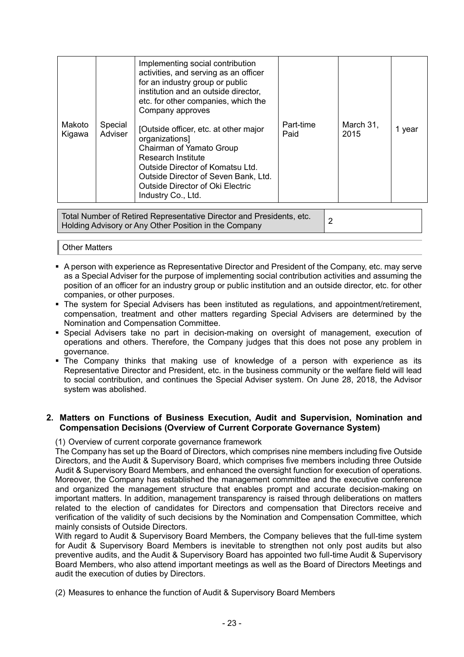|                  |                    | Implementing social contribution<br>activities, and serving as an officer<br>for an industry group or public<br>institution and an outside director,<br>etc. for other companies, which the<br>Company approves                                        |                   |                   |        |
|------------------|--------------------|--------------------------------------------------------------------------------------------------------------------------------------------------------------------------------------------------------------------------------------------------------|-------------------|-------------------|--------|
| Makoto<br>Kigawa | Special<br>Adviser | [Outside officer, etc. at other major<br>organizations]<br>Chairman of Yamato Group<br>Research Institute<br>Outside Director of Komatsu Ltd.<br>Outside Director of Seven Bank, Ltd.<br><b>Outside Director of Oki Electric</b><br>Industry Co., Ltd. | Part-time<br>Paid | March 31,<br>2015 | 1 year |

Total Number of Retired Representative Director and Presidents, etc. Holding Advisory or Any Other Position in the Company<br>Holding Advisory or Any Other Position in the Company

#### Other Matters

- A person with experience as Representative Director and President of the Company, etc. may serve as a Special Adviser for the purpose of implementing social contribution activities and assuming the position of an officer for an industry group or public institution and an outside director, etc. for other companies, or other purposes.
- The system for Special Advisers has been instituted as regulations, and appointment/retirement, compensation, treatment and other matters regarding Special Advisers are determined by the Nomination and Compensation Committee.
- Special Advisers take no part in decision-making on oversight of management, execution of operations and others. Therefore, the Company judges that this does not pose any problem in governance.
- The Company thinks that making use of knowledge of a person with experience as its Representative Director and President, etc. in the business community or the welfare field will lead to social contribution, and continues the Special Adviser system. On June 28, 2018, the Advisor system was abolished.

## **2. Matters on Functions of Business Execution, Audit and Supervision, Nomination and Compensation Decisions (Overview of Current Corporate Governance System)**

(1) Overview of current corporate governance framework

The Company has set up the Board of Directors, which comprises nine members including five Outside Directors, and the Audit & Supervisory Board, which comprises five members including three Outside Audit & Supervisory Board Members, and enhanced the oversight function for execution of operations. Moreover, the Company has established the management committee and the executive conference and organized the management structure that enables prompt and accurate decision-making on important matters. In addition, management transparency is raised through deliberations on matters related to the election of candidates for Directors and compensation that Directors receive and verification of the validity of such decisions by the Nomination and Compensation Committee, which mainly consists of Outside Directors.

With regard to Audit & Supervisory Board Members, the Company believes that the full-time system for Audit & Supervisory Board Members is inevitable to strengthen not only post audits but also preventive audits, and the Audit & Supervisory Board has appointed two full-time Audit & Supervisory Board Members, who also attend important meetings as well as the Board of Directors Meetings and audit the execution of duties by Directors.

(2) Measures to enhance the function of Audit & Supervisory Board Members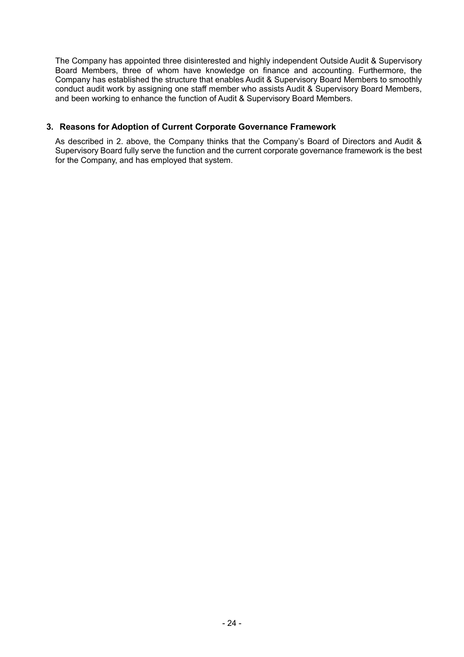The Company has appointed three disinterested and highly independent Outside Audit & Supervisory Board Members, three of whom have knowledge on finance and accounting. Furthermore, the Company has established the structure that enables Audit & Supervisory Board Members to smoothly conduct audit work by assigning one staff member who assists Audit & Supervisory Board Members, and been working to enhance the function of Audit & Supervisory Board Members.

# **3. Reasons for Adoption of Current Corporate Governance Framework**

As described in 2. above, the Company thinks that the Company's Board of Directors and Audit & Supervisory Board fully serve the function and the current corporate governance framework is the best for the Company, and has employed that system.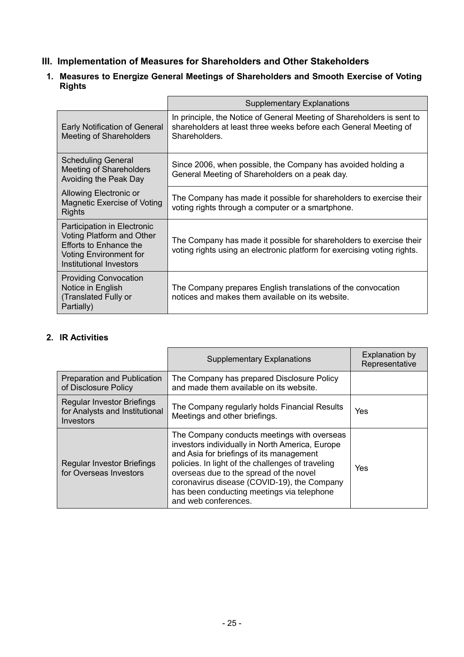- **III. Implementation of Measures for Shareholders and Other Stakeholders**
- **1. Measures to Energize General Meetings of Shareholders and Smooth Exercise of Voting Rights**

|                                                                                                                                                              | <b>Supplementary Explanations</b>                                                                                                                           |
|--------------------------------------------------------------------------------------------------------------------------------------------------------------|-------------------------------------------------------------------------------------------------------------------------------------------------------------|
| <b>Early Notification of General</b><br><b>Meeting of Shareholders</b>                                                                                       | In principle, the Notice of General Meeting of Shareholders is sent to<br>shareholders at least three weeks before each General Meeting of<br>Shareholders. |
| <b>Scheduling General</b><br>Meeting of Shareholders<br>Avoiding the Peak Day                                                                                | Since 2006, when possible, the Company has avoided holding a<br>General Meeting of Shareholders on a peak day.                                              |
| Allowing Electronic or<br>Magnetic Exercise of Voting<br><b>Rights</b>                                                                                       | The Company has made it possible for shareholders to exercise their<br>voting rights through a computer or a smartphone.                                    |
| Participation in Electronic<br><b>Voting Platform and Other</b><br><b>Efforts to Enhance the</b><br><b>Voting Environment for</b><br>Institutional Investors | The Company has made it possible for shareholders to exercise their<br>voting rights using an electronic platform for exercising voting rights.             |
| <b>Providing Convocation</b><br>Notice in English<br>(Translated Fully or<br>Partially)                                                                      | The Company prepares English translations of the convocation<br>notices and makes them available on its website.                                            |

# **2. IR Activities**

|                                                                                  | <b>Supplementary Explanations</b>                                                                                                                                                                                                                                                                                                                               | <b>Explanation by</b><br>Representative |
|----------------------------------------------------------------------------------|-----------------------------------------------------------------------------------------------------------------------------------------------------------------------------------------------------------------------------------------------------------------------------------------------------------------------------------------------------------------|-----------------------------------------|
| <b>Preparation and Publication</b><br>of Disclosure Policy                       | The Company has prepared Disclosure Policy<br>and made them available on its website.                                                                                                                                                                                                                                                                           |                                         |
| <b>Regular Investor Briefings</b><br>for Analysts and Institutional<br>Investors | The Company regularly holds Financial Results<br>Meetings and other briefings.                                                                                                                                                                                                                                                                                  | Yes                                     |
| <b>Regular Investor Briefings</b><br>for Overseas Investors                      | The Company conducts meetings with overseas<br>investors individually in North America, Europe<br>and Asia for briefings of its management<br>policies. In light of the challenges of traveling<br>overseas due to the spread of the novel<br>coronavirus disease (COVID-19), the Company<br>has been conducting meetings via telephone<br>and web conferences. | Yes                                     |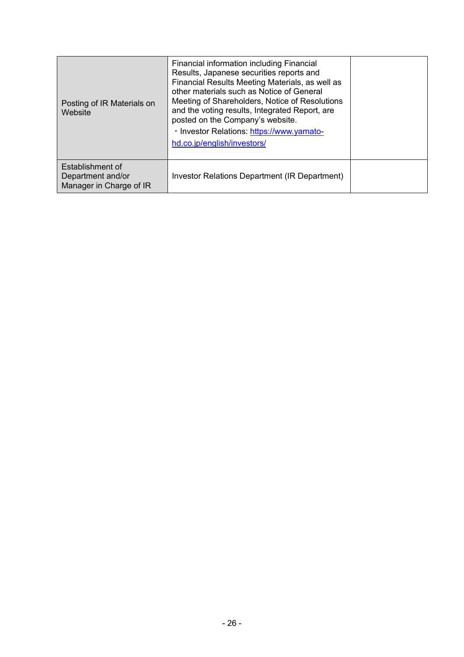| Posting of IR Materials on<br>Website                            | Financial information including Financial<br>Results, Japanese securities reports and<br>Financial Results Meeting Materials, as well as<br>other materials such as Notice of General<br>Meeting of Shareholders, Notice of Resolutions<br>and the voting results, Integrated Report, are<br>posted on the Company's website.<br>· Investor Relations: https://www.yamato-<br>hd.co.jp/english/investors/ |  |
|------------------------------------------------------------------|-----------------------------------------------------------------------------------------------------------------------------------------------------------------------------------------------------------------------------------------------------------------------------------------------------------------------------------------------------------------------------------------------------------|--|
| Establishment of<br>Department and/or<br>Manager in Charge of IR | Investor Relations Department (IR Department)                                                                                                                                                                                                                                                                                                                                                             |  |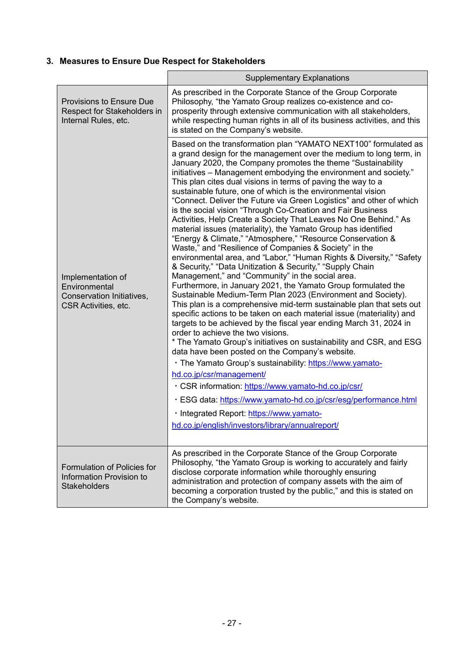# **3. Measures to Ensure Due Respect for Stakeholders**

|                                                                                         | <b>Supplementary Explanations</b>                                                                                                                                                                                                                                                                                                                                                                                                                                                                                                                                                                                                                                                                                                                                                                                                                                                                                                                                                                                                                                                                                                                                                                                                                                                                                                                                                                                                                                                                                                                                                                                                                                                                                                                                                                                                                 |
|-----------------------------------------------------------------------------------------|---------------------------------------------------------------------------------------------------------------------------------------------------------------------------------------------------------------------------------------------------------------------------------------------------------------------------------------------------------------------------------------------------------------------------------------------------------------------------------------------------------------------------------------------------------------------------------------------------------------------------------------------------------------------------------------------------------------------------------------------------------------------------------------------------------------------------------------------------------------------------------------------------------------------------------------------------------------------------------------------------------------------------------------------------------------------------------------------------------------------------------------------------------------------------------------------------------------------------------------------------------------------------------------------------------------------------------------------------------------------------------------------------------------------------------------------------------------------------------------------------------------------------------------------------------------------------------------------------------------------------------------------------------------------------------------------------------------------------------------------------------------------------------------------------------------------------------------------------|
| <b>Provisions to Ensure Due</b><br>Respect for Stakeholders in<br>Internal Rules, etc.  | As prescribed in the Corporate Stance of the Group Corporate<br>Philosophy, "the Yamato Group realizes co-existence and co-<br>prosperity through extensive communication with all stakeholders,<br>while respecting human rights in all of its business activities, and this<br>is stated on the Company's website.                                                                                                                                                                                                                                                                                                                                                                                                                                                                                                                                                                                                                                                                                                                                                                                                                                                                                                                                                                                                                                                                                                                                                                                                                                                                                                                                                                                                                                                                                                                              |
| Implementation of<br>Environmental<br>Conservation Initiatives,<br>CSR Activities, etc. | Based on the transformation plan "YAMATO NEXT100" formulated as<br>a grand design for the management over the medium to long term, in<br>January 2020, the Company promotes the theme "Sustainability<br>initiatives - Management embodying the environment and society."<br>This plan cites dual visions in terms of paving the way to a<br>sustainable future, one of which is the environmental vision<br>"Connect. Deliver the Future via Green Logistics" and other of which<br>is the social vision "Through Co-Creation and Fair Business<br>Activities, Help Create a Society That Leaves No One Behind." As<br>material issues (materiality), the Yamato Group has identified<br>"Energy & Climate," "Atmosphere," "Resource Conservation &<br>Waste," and "Resilience of Companies & Society" in the<br>environmental area, and "Labor," "Human Rights & Diversity," "Safety<br>& Security," "Data Unitization & Security," "Supply Chain<br>Management," and "Community" in the social area.<br>Furthermore, in January 2021, the Yamato Group formulated the<br>Sustainable Medium-Term Plan 2023 (Environment and Society).<br>This plan is a comprehensive mid-term sustainable plan that sets out<br>specific actions to be taken on each material issue (materiality) and<br>targets to be achieved by the fiscal year ending March 31, 2024 in<br>order to achieve the two visions.<br>* The Yamato Group's initiatives on sustainability and CSR, and ESG<br>data have been posted on the Company's website.<br>· The Yamato Group's sustainability: https://www.yamato-<br>hd.co.jp/csr/management/<br>· CSR information: https://www.yamato-hd.co.jp/csr/<br>· ESG data: https://www.yamato-hd.co.jp/csr/esg/performance.html<br>· Integrated Report: https://www.yamato-<br>hd.co.jp/english/investors/library/annualreport/ |
| Formulation of Policies for<br>Information Provision to<br><b>Stakeholders</b>          | As prescribed in the Corporate Stance of the Group Corporate<br>Philosophy, "the Yamato Group is working to accurately and fairly<br>disclose corporate information while thoroughly ensuring<br>administration and protection of company assets with the aim of<br>becoming a corporation trusted by the public," and this is stated on<br>the Company's website.                                                                                                                                                                                                                                                                                                                                                                                                                                                                                                                                                                                                                                                                                                                                                                                                                                                                                                                                                                                                                                                                                                                                                                                                                                                                                                                                                                                                                                                                                |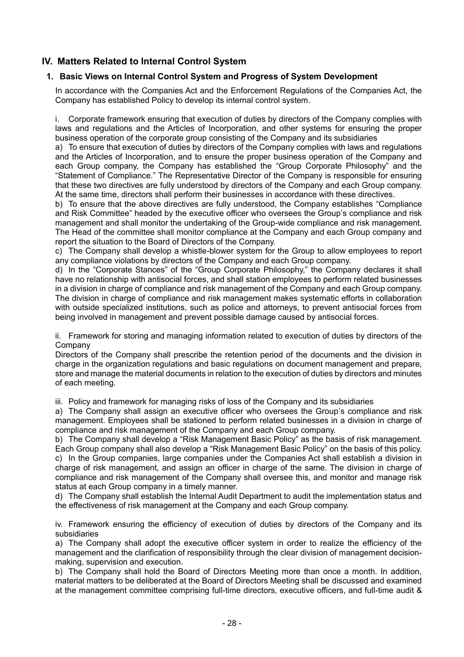# **IV. Matters Related to Internal Control System**

# **1. Basic Views on Internal Control System and Progress of System Development**

In accordance with the Companies Act and the Enforcement Regulations of the Companies Act, the Company has established Policy to develop its internal control system.

i. Corporate framework ensuring that execution of duties by directors of the Company complies with laws and regulations and the Articles of Incorporation, and other systems for ensuring the proper business operation of the corporate group consisting of the Company and its subsidiaries

a) To ensure that execution of duties by directors of the Company complies with laws and regulations and the Articles of Incorporation, and to ensure the proper business operation of the Company and each Group company, the Company has established the "Group Corporate Philosophy" and the "Statement of Compliance." The Representative Director of the Company is responsible for ensuring that these two directives are fully understood by directors of the Company and each Group company. At the same time, directors shall perform their businesses in accordance with these directives.

b) To ensure that the above directives are fully understood, the Company establishes "Compliance and Risk Committee" headed by the executive officer who oversees the Group's compliance and risk management and shall monitor the undertaking of the Group-wide compliance and risk management. The Head of the committee shall monitor compliance at the Company and each Group company and report the situation to the Board of Directors of the Company.

c) The Company shall develop a whistle-blower system for the Group to allow employees to report any compliance violations by directors of the Company and each Group company.

d) In the "Corporate Stances" of the "Group Corporate Philosophy," the Company declares it shall have no relationship with antisocial forces, and shall station employees to perform related businesses in a division in charge of compliance and risk management of the Company and each Group company. The division in charge of compliance and risk management makes systematic efforts in collaboration with outside specialized institutions, such as police and attorneys, to prevent antisocial forces from being involved in management and prevent possible damage caused by antisocial forces.

ii. Framework for storing and managing information related to execution of duties by directors of the Company

Directors of the Company shall prescribe the retention period of the documents and the division in charge in the organization regulations and basic regulations on document management and prepare, store and manage the material documents in relation to the execution of duties by directors and minutes of each meeting.

iii. Policy and framework for managing risks of loss of the Company and its subsidiaries

a) The Company shall assign an executive officer who oversees the Group's compliance and risk management. Employees shall be stationed to perform related businesses in a division in charge of compliance and risk management of the Company and each Group company.

b) The Company shall develop a "Risk Management Basic Policy" as the basis of risk management. Each Group company shall also develop a "Risk Management Basic Policy" on the basis of this policy. c) In the Group companies, large companies under the Companies Act shall establish a division in charge of risk management, and assign an officer in charge of the same. The division in charge of compliance and risk management of the Company shall oversee this, and monitor and manage risk status at each Group company in a timely manner.

d) The Company shall establish the Internal Audit Department to audit the implementation status and the effectiveness of risk management at the Company and each Group company.

iv. Framework ensuring the efficiency of execution of duties by directors of the Company and its subsidiaries

a) The Company shall adopt the executive officer system in order to realize the efficiency of the management and the clarification of responsibility through the clear division of management decisionmaking, supervision and execution.

b) The Company shall hold the Board of Directors Meeting more than once a month. In addition, material matters to be deliberated at the Board of Directors Meeting shall be discussed and examined at the management committee comprising full-time directors, executive officers, and full-time audit &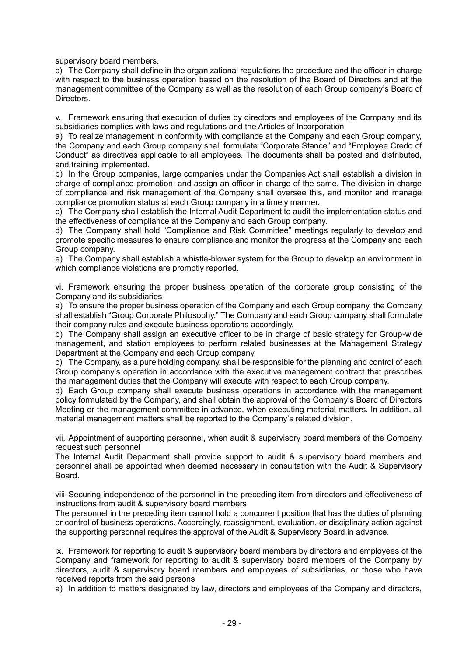supervisory board members.

c) The Company shall define in the organizational regulations the procedure and the officer in charge with respect to the business operation based on the resolution of the Board of Directors and at the management committee of the Company as well as the resolution of each Group company's Board of Directors.

v. Framework ensuring that execution of duties by directors and employees of the Company and its subsidiaries complies with laws and regulations and the Articles of Incorporation

a) To realize management in conformity with compliance at the Company and each Group company, the Company and each Group company shall formulate "Corporate Stance" and "Employee Credo of Conduct" as directives applicable to all employees. The documents shall be posted and distributed, and training implemented.

b) In the Group companies, large companies under the Companies Act shall establish a division in charge of compliance promotion, and assign an officer in charge of the same. The division in charge of compliance and risk management of the Company shall oversee this, and monitor and manage compliance promotion status at each Group company in a timely manner.

c) The Company shall establish the Internal Audit Department to audit the implementation status and the effectiveness of compliance at the Company and each Group company.

d) The Company shall hold "Compliance and Risk Committee" meetings regularly to develop and promote specific measures to ensure compliance and monitor the progress at the Company and each Group company.

e) The Company shall establish a whistle-blower system for the Group to develop an environment in which compliance violations are promptly reported.

vi. Framework ensuring the proper business operation of the corporate group consisting of the Company and its subsidiaries

a) To ensure the proper business operation of the Company and each Group company, the Company shall establish "Group Corporate Philosophy." The Company and each Group company shall formulate their company rules and execute business operations accordingly.

b) The Company shall assign an executive officer to be in charge of basic strategy for Group-wide management, and station employees to perform related businesses at the Management Strategy Department at the Company and each Group company.

c) The Company, as a pure holding company, shall be responsible for the planning and control of each Group company's operation in accordance with the executive management contract that prescribes the management duties that the Company will execute with respect to each Group company.

d) Each Group company shall execute business operations in accordance with the management policy formulated by the Company, and shall obtain the approval of the Company's Board of Directors Meeting or the management committee in advance, when executing material matters. In addition, all material management matters shall be reported to the Company's related division.

vii. Appointment of supporting personnel, when audit & supervisory board members of the Company request such personnel

The Internal Audit Department shall provide support to audit & supervisory board members and personnel shall be appointed when deemed necessary in consultation with the Audit & Supervisory Board.

viii.Securing independence of the personnel in the preceding item from directors and effectiveness of instructions from audit & supervisory board members

The personnel in the preceding item cannot hold a concurrent position that has the duties of planning or control of business operations. Accordingly, reassignment, evaluation, or disciplinary action against the supporting personnel requires the approval of the Audit & Supervisory Board in advance.

ix. Framework for reporting to audit & supervisory board members by directors and employees of the Company and framework for reporting to audit & supervisory board members of the Company by directors, audit & supervisory board members and employees of subsidiaries, or those who have received reports from the said persons

a) In addition to matters designated by law, directors and employees of the Company and directors,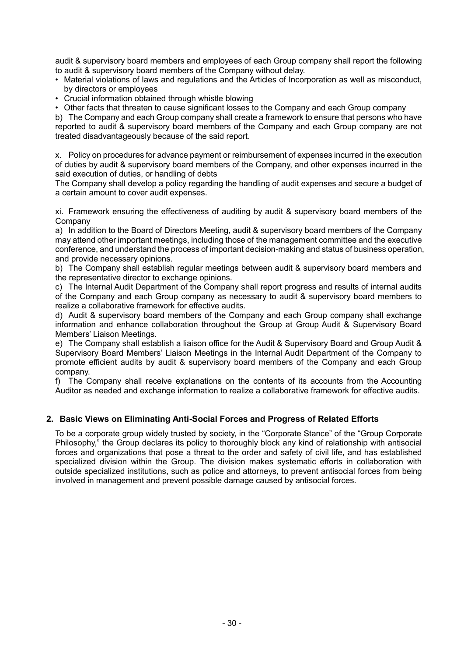audit & supervisory board members and employees of each Group company shall report the following to audit & supervisory board members of the Company without delay.

- Material violations of laws and regulations and the Articles of Incorporation as well as misconduct, by directors or employees
- Crucial information obtained through whistle blowing
- Other facts that threaten to cause significant losses to the Company and each Group company

b) The Company and each Group company shall create a framework to ensure that persons who have reported to audit & supervisory board members of the Company and each Group company are not treated disadvantageously because of the said report.

x. Policy on procedures for advance payment or reimbursement of expenses incurred in the execution of duties by audit & supervisory board members of the Company, and other expenses incurred in the said execution of duties, or handling of debts

The Company shall develop a policy regarding the handling of audit expenses and secure a budget of a certain amount to cover audit expenses.

xi. Framework ensuring the effectiveness of auditing by audit & supervisory board members of the Company

a) In addition to the Board of Directors Meeting, audit & supervisory board members of the Company may attend other important meetings, including those of the management committee and the executive conference, and understand the process of important decision-making and status of business operation, and provide necessary opinions.

b) The Company shall establish regular meetings between audit & supervisory board members and the representative director to exchange opinions.

c) The Internal Audit Department of the Company shall report progress and results of internal audits of the Company and each Group company as necessary to audit & supervisory board members to realize a collaborative framework for effective audits.

d) Audit & supervisory board members of the Company and each Group company shall exchange information and enhance collaboration throughout the Group at Group Audit & Supervisory Board Members' Liaison Meetings.

e) The Company shall establish a liaison office for the Audit & Supervisory Board and Group Audit & Supervisory Board Members' Liaison Meetings in the Internal Audit Department of the Company to promote efficient audits by audit & supervisory board members of the Company and each Group company.

f) The Company shall receive explanations on the contents of its accounts from the Accounting Auditor as needed and exchange information to realize a collaborative framework for effective audits.

# **2. Basic Views on Eliminating Anti-Social Forces and Progress of Related Efforts**

To be a corporate group widely trusted by society, in the "Corporate Stance" of the "Group Corporate Philosophy," the Group declares its policy to thoroughly block any kind of relationship with antisocial forces and organizations that pose a threat to the order and safety of civil life, and has established specialized division within the Group. The division makes systematic efforts in collaboration with outside specialized institutions, such as police and attorneys, to prevent antisocial forces from being involved in management and prevent possible damage caused by antisocial forces.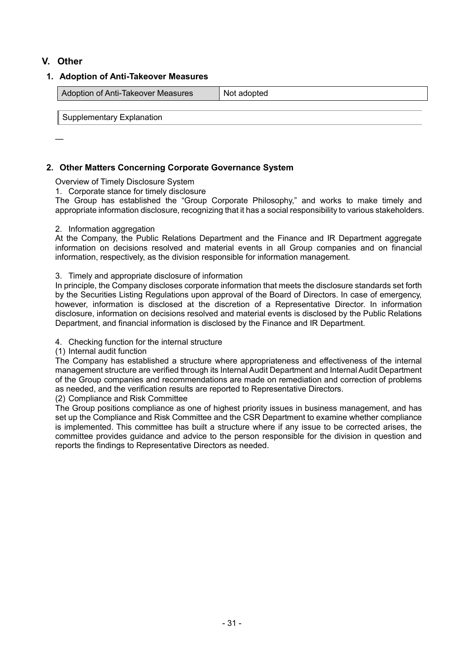# **V. Other**

## **1. Adoption of Anti-Takeover Measures**

| Adoption of Anti-Takeover Measures | Not adopted |
|------------------------------------|-------------|
|                                    |             |

Supplementary Explanation

—

# **2. Other Matters Concerning Corporate Governance System**

Overview of Timely Disclosure System

1. Corporate stance for timely disclosure

The Group has established the "Group Corporate Philosophy," and works to make timely and appropriate information disclosure, recognizing that it has a social responsibility to various stakeholders.

#### 2. Information aggregation

At the Company, the Public Relations Department and the Finance and IR Department aggregate information on decisions resolved and material events in all Group companies and on financial information, respectively, as the division responsible for information management.

#### 3. Timely and appropriate disclosure of information

In principle, the Company discloses corporate information that meets the disclosure standards set forth by the Securities Listing Regulations upon approval of the Board of Directors. In case of emergency, however, information is disclosed at the discretion of a Representative Director. In information disclosure, information on decisions resolved and material events is disclosed by the Public Relations Department, and financial information is disclosed by the Finance and IR Department.

#### 4. Checking function for the internal structure

(1) Internal audit function

The Company has established a structure where appropriateness and effectiveness of the internal management structure are verified through its Internal Audit Department and Internal Audit Department of the Group companies and recommendations are made on remediation and correction of problems as needed, and the verification results are reported to Representative Directors.

(2) Compliance and Risk Committee

The Group positions compliance as one of highest priority issues in business management, and has set up the Compliance and Risk Committee and the CSR Department to examine whether compliance is implemented. This committee has built a structure where if any issue to be corrected arises, the committee provides guidance and advice to the person responsible for the division in question and reports the findings to Representative Directors as needed.